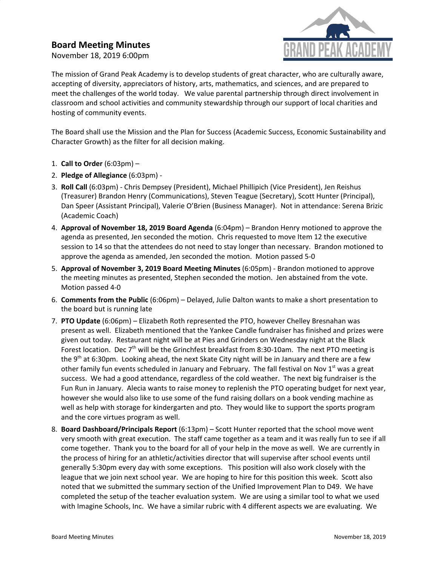## **Board Meeting Minutes**

November 18, 2019 6:00pm



The mission of Grand Peak Academy is to develop students of great character, who are culturally aware, accepting of diversity, appreciators of history, arts, mathematics, and sciences, and are prepared to meet the challenges of the world today. We value parental partnership through direct involvement in classroom and school activities and community stewardship through our support of local charities and hosting of community events.

The Board shall use the Mission and the Plan for Success (Academic Success, Economic Sustainability and Character Growth) as the filter for all decision making.

- 1. **Call to Order** (6:03pm) –
- 2. **Pledge of Allegiance** (6:03pm) -
- 3. **Roll Call** (6:03pm) Chris Dempsey (President), Michael Phillipich (Vice President), Jen Reishus (Treasurer) Brandon Henry (Communications), Steven Teague (Secretary), Scott Hunter (Principal), Dan Speer (Assistant Principal), Valerie O'Brien (Business Manager). Not in attendance: Serena Brizic (Academic Coach)
- 4. **Approval of November 18, 2019 Board Agenda** (6:04pm) Brandon Henry motioned to approve the agenda as presented, Jen seconded the motion. Chris requested to move Item 12 the executive session to 14 so that the attendees do not need to stay longer than necessary. Brandon motioned to approve the agenda as amended, Jen seconded the motion. Motion passed 5-0
- 5. **Approval of November 3, 2019 Board Meeting Minutes** (6:05pm) Brandon motioned to approve the meeting minutes as presented, Stephen seconded the motion. Jen abstained from the vote. Motion passed 4-0
- 6. **Comments from the Public** (6:06pm) Delayed, Julie Dalton wants to make a short presentation to the board but is running late
- 7. **PTO Update** (6:06pm) Elizabeth Roth represented the PTO, however Chelley Bresnahan was present as well. Elizabeth mentioned that the Yankee Candle fundraiser has finished and prizes were given out today. Restaurant night will be at Pies and Grinders on Wednesday night at the Black Forest location. Dec  $7<sup>th</sup>$  will be the Grinchfest breakfast from 8:30-10am. The next PTO meeting is the 9<sup>th</sup> at 6:30pm. Looking ahead, the next Skate City night will be in January and there are a few other family fun events scheduled in January and February. The fall festival on Nov 1<sup>st</sup> was a great success. We had a good attendance, regardless of the cold weather. The next big fundraiser is the Fun Run in January. Alecia wants to raise money to replenish the PTO operating budget for next year, however she would also like to use some of the fund raising dollars on a book vending machine as well as help with storage for kindergarten and pto. They would like to support the sports program and the core virtues program as well.
- 8. **Board Dashboard/Principals Report** (6:13pm) Scott Hunter reported that the school move went very smooth with great execution. The staff came together as a team and it was really fun to see if all come together. Thank you to the board for all of your help in the move as well. We are currently in the process of hiring for an athletic/activities director that will supervise after school events until generally 5:30pm every day with some exceptions. This position will also work closely with the league that we join next school year. We are hoping to hire for this position this week. Scott also noted that we submitted the summary section of the Unified Improvement Plan to D49. We have completed the setup of the teacher evaluation system. We are using a similar tool to what we used with Imagine Schools, Inc. We have a similar rubric with 4 different aspects we are evaluating. We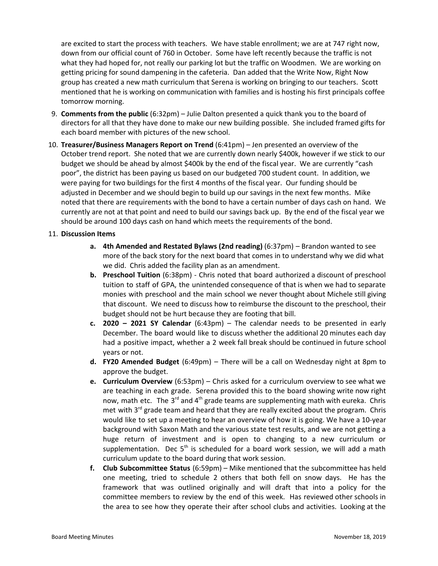are excited to start the process with teachers. We have stable enrollment; we are at 747 right now, down from our official count of 760 in October. Some have left recently because the traffic is not what they had hoped for, not really our parking lot but the traffic on Woodmen. We are working on getting pricing for sound dampening in the cafeteria. Dan added that the Write Now, Right Now group has created a new math curriculum that Serena is working on bringing to our teachers. Scott mentioned that he is working on communication with families and is hosting his first principals coffee tomorrow morning.

- 9. **Comments from the public** (6:32pm) Julie Dalton presented a quick thank you to the board of directors for all that they have done to make our new building possible. She included framed gifts for each board member with pictures of the new school.
- 10. **Treasurer/Business Managers Report on Trend** (6:41pm) Jen presented an overview of the October trend report. She noted that we are currently down nearly \$400k, however if we stick to our budget we should be ahead by almost \$400k by the end of the fiscal year. We are currently "cash poor", the district has been paying us based on our budgeted 700 student count. In addition, we were paying for two buildings for the first 4 months of the fiscal year. Our funding should be adjusted in December and we should begin to build up our savings in the next few months. Mike noted that there are requirements with the bond to have a certain number of days cash on hand. We currently are not at that point and need to build our savings back up. By the end of the fiscal year we should be around 100 days cash on hand which meets the requirements of the bond.

## 11. **Discussion Items**

- **a. 4th Amended and Restated Bylaws (2nd reading)** (6:37pm) Brandon wanted to see more of the back story for the next board that comes in to understand why we did what we did. Chris added the facility plan as an amendment.
- **b. Preschool Tuition** (6:38pm) Chris noted that board authorized a discount of preschool tuition to staff of GPA, the unintended consequence of that is when we had to separate monies with preschool and the main school we never thought about Michele still giving that discount. We need to discuss how to reimburse the discount to the preschool, their budget should not be hurt because they are footing that bill.
- **c. 2020 – 2021 SY Calendar** (6:43pm) The calendar needs to be presented in early December. The board would like to discuss whether the additional 20 minutes each day had a positive impact, whether a 2 week fall break should be continued in future school years or not.
- **d. FY20 Amended Budget** (6:49pm) There will be a call on Wednesday night at 8pm to approve the budget.
- **e. Curriculum Overview** (6:53pm) Chris asked for a curriculum overview to see what we are teaching in each grade. Serena provided this to the board showing write now right now, math etc. The 3<sup>rd</sup> and 4<sup>th</sup> grade teams are supplementing math with eureka. Chris met with  $3^{rd}$  grade team and heard that they are really excited about the program. Chris would like to set up a meeting to hear an overview of how it is going. We have a 10-year background with Saxon Math and the various state test results, and we are not getting a huge return of investment and is open to changing to a new curriculum or supplementation. Dec 5<sup>th</sup> is scheduled for a board work session, we will add a math curriculum update to the board during that work session.
- **f. Club Subcommittee Status** (6:59pm) Mike mentioned that the subcommittee has held one meeting, tried to schedule 2 others that both fell on snow days. He has the framework that was outlined originally and will draft that into a policy for the committee members to review by the end of this week. Has reviewed other schools in the area to see how they operate their after school clubs and activities. Looking at the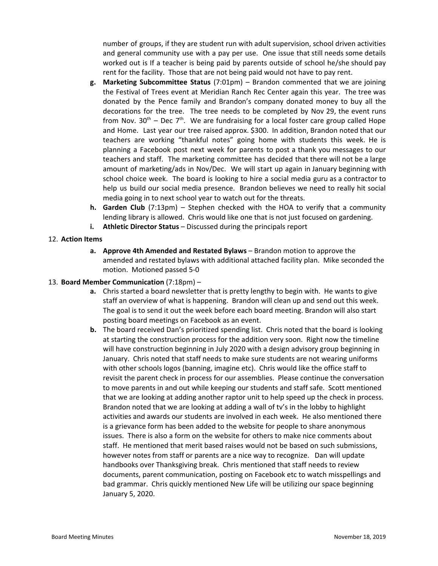number of groups, if they are student run with adult supervision, school driven activities and general community use with a pay per use. One issue that still needs some details worked out is If a teacher is being paid by parents outside of school he/she should pay rent for the facility. Those that are not being paid would not have to pay rent.

- **g. Marketing Subcommittee Status** (7:01pm) Brandon commented that we are joining the Festival of Trees event at Meridian Ranch Rec Center again this year. The tree was donated by the Pence family and Brandon's company donated money to buy all the decorations for the tree. The tree needs to be completed by Nov 29, the event runs from Nov.  $30<sup>th</sup>$  – Dec 7<sup>th</sup>. We are fundraising for a local foster care group called Hope and Home. Last year our tree raised approx. \$300. In addition, Brandon noted that our teachers are working "thankful notes" going home with students this week. He is planning a Facebook post next week for parents to post a thank you messages to our teachers and staff. The marketing committee has decided that there will not be a large amount of marketing/ads in Nov/Dec. We will start up again in January beginning with school choice week. The board is looking to hire a social media guru as a contractor to help us build our social media presence. Brandon believes we need to really hit social media going in to next school year to watch out for the threats.
- **h. Garden Club** (7:13pm) Stephen checked with the HOA to verify that a community lending library is allowed. Chris would like one that is not just focused on gardening.
- **i. Athletic Director Status** Discussed during the principals report

## 12. **Action Items**

**a. Approve 4th Amended and Restated Bylaws** – Brandon motion to approve the amended and restated bylaws with additional attached facility plan. Mike seconded the motion. Motioned passed 5-0

## 13. **Board Member Communication** (7:18pm) –

- **a.** Chris started a board newsletter that is pretty lengthy to begin with. He wants to give staff an overview of what is happening. Brandon will clean up and send out this week. The goal is to send it out the week before each board meeting. Brandon will also start posting board meetings on Facebook as an event.
- **b.** The board received Dan's prioritized spending list. Chris noted that the board is looking at starting the construction process for the addition very soon. Right now the timeline will have construction beginning in July 2020 with a design advisory group beginning in January. Chris noted that staff needs to make sure students are not wearing uniforms with other schools logos (banning, imagine etc). Chris would like the office staff to revisit the parent check in process for our assemblies. Please continue the conversation to move parents in and out while keeping our students and staff safe. Scott mentioned that we are looking at adding another raptor unit to help speed up the check in process. Brandon noted that we are looking at adding a wall of tv's in the lobby to highlight activities and awards our students are involved in each week. He also mentioned there is a grievance form has been added to the website for people to share anonymous issues. There is also a form on the website for others to make nice comments about staff. He mentioned that merit based raises would not be based on such submissions, however notes from staff or parents are a nice way to recognize. Dan will update handbooks over Thanksgiving break. Chris mentioned that staff needs to review documents, parent communication, posting on Facebook etc to watch misspellings and bad grammar. Chris quickly mentioned New Life will be utilizing our space beginning January 5, 2020.